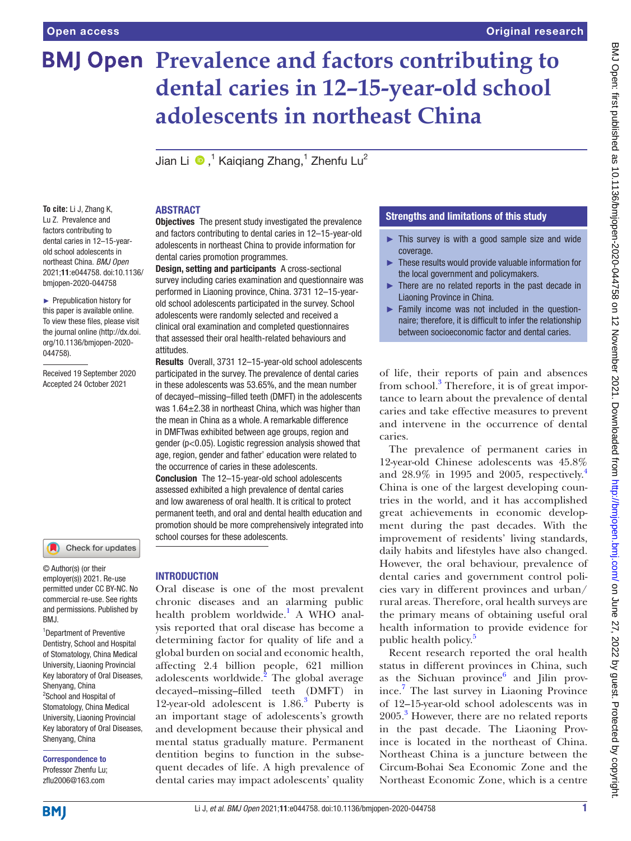# **BMJ Open Prevalence and factors contributing to dental caries in 12–15-year-old school adolescents in northeast China**

Jian Li $\cdot$   $\bullet$  ,<sup>1</sup> Kaiqiang Zhang,<sup>1</sup> Zhenfu Lu<sup>2</sup>

**To cite:** Li J, Zhang K, Lu Z. Prevalence and factors contributing to dental caries in 12–15-yearold school adolescents in northeast China. *BMJ Open* 2021;11:e044758. doi:10.1136/ bmjopen-2020-044758

► Prepublication history for this paper is available online. To view these files, please visit the journal online [\(http://dx.doi.](http://dx.doi.org/10.1136/bmjopen-2020-044758) [org/10.1136/bmjopen-2020-](http://dx.doi.org/10.1136/bmjopen-2020-044758) [044758\)](http://dx.doi.org/10.1136/bmjopen-2020-044758).

Received 19 September 2020 Accepted 24 October 2021

#### Check for updates

© Author(s) (or their employer(s)) 2021. Re-use permitted under CC BY-NC. No commercial re-use. See rights and permissions. Published by BMJ.

<sup>1</sup>Department of Preventive Dentistry, School and Hospital of Stomatology, China Medical University, Liaoning Provincial Key laboratory of Oral Diseases, Shenyang, China <sup>2</sup>School and Hospital of Stomatology, China Medical University, Liaoning Provincial Key laboratory of Oral Diseases, Shenyang, China

Correspondence to Professor Zhenfu Lu; zflu2006@163.com

## ABSTRACT

**Objectives** The present study investigated the prevalence and factors contributing to dental caries in 12–15-year-old adolescents in northeast China to provide information for dental caries promotion programmes.

Design, setting and participants A cross-sectional survey including caries examination and questionnaire was performed in Liaoning province, China. 3731 12–15-yearold school adolescents participated in the survey. School adolescents were randomly selected and received a clinical oral examination and completed questionnaires that assessed their oral health-related behaviours and attitudes.

Results Overall, 3731 12–15-year-old school adolescents participated in the survey. The prevalence of dental caries in these adolescents was 53.65%, and the mean number of decayed–missing–filled teeth (DMFT) in the adolescents was  $1.64 \pm 2.38$  in northeast China, which was higher than the mean in China as a whole. A remarkable difference in DMFTwas exhibited between age groups, region and gender (p<0.05). Logistic regression analysis showed that age, region, gender and father' education were related to the occurrence of caries in these adolescents.

Conclusion The 12–15-year-old school adolescents assessed exhibited a high prevalence of dental caries and low awareness of oral health. It is critical to protect permanent teeth, and oral and dental health education and promotion should be more comprehensively integrated into school courses for these adolescents.

# INTRODUCTION

Oral disease is one of the most prevalent chronic diseases and an alarming public health problem worldwide.<sup>1</sup> A WHO analysis reported that oral disease has become a determining factor for quality of life and a global burden on social and economic health, affecting 2.4 billion people, 621 million adolescents worldwide.<sup>[2](#page-7-1)</sup> The global average decayed–missing–filled teeth (DMFT) in 12-year-old adolescent is 1.86.<sup>[3](#page-7-2)</sup> Puberty is an important stage of adolescents's growth and development because their physical and mental status gradually mature. Permanent dentition begins to function in the subsequent decades of life. A high prevalence of dental caries may impact adolescents' quality

## Strengths and limitations of this study

- ► This survey is with a good sample size and wide coverage.
- ► These results would provide valuable information for the local government and policymakers.
- There are no related reports in the past decade in Liaoning Province in China.
- ► Family income was not included in the questionnaire; therefore, it is difficult to infer the relationship between socioeconomic factor and dental caries.

of life, their reports of pain and absences from school.<sup>[3](#page-7-2)</sup> Therefore, it is of great importance to learn about the prevalence of dental caries and take effective measures to prevent and intervene in the occurrence of dental caries.

The prevalence of permanent caries in 12-year-old Chinese adolescents was 45.8% and 28.9% in 1995 and 2005, respectively. [4](#page-7-3) China is one of the largest developing countries in the world, and it has accomplished great achievements in economic development during the past decades. With the improvement of residents' living standards, daily habits and lifestyles have also changed. However, the oral behaviour, prevalence of dental caries and government control policies vary in different provinces and urban/ rural areas. Therefore, oral health surveys are the primary means of obtaining useful oral health information to provide evidence for public health policy.<sup>[5](#page-7-4)</sup>

Recent research reported the oral health status in different provinces in China, such as the Sichuan province $6$  and Jilin province.[7](#page-7-6) The last survey in Liaoning Province of 12–15-year-old school adolescents was in 2005.<sup>[3](#page-7-2)</sup> However, there are no related reports in the past decade. The Liaoning Province is located in the northeast of China. Northeast China is a juncture between the Circum-Bohai Sea Economic Zone and the Northeast Economic Zone, which is a centre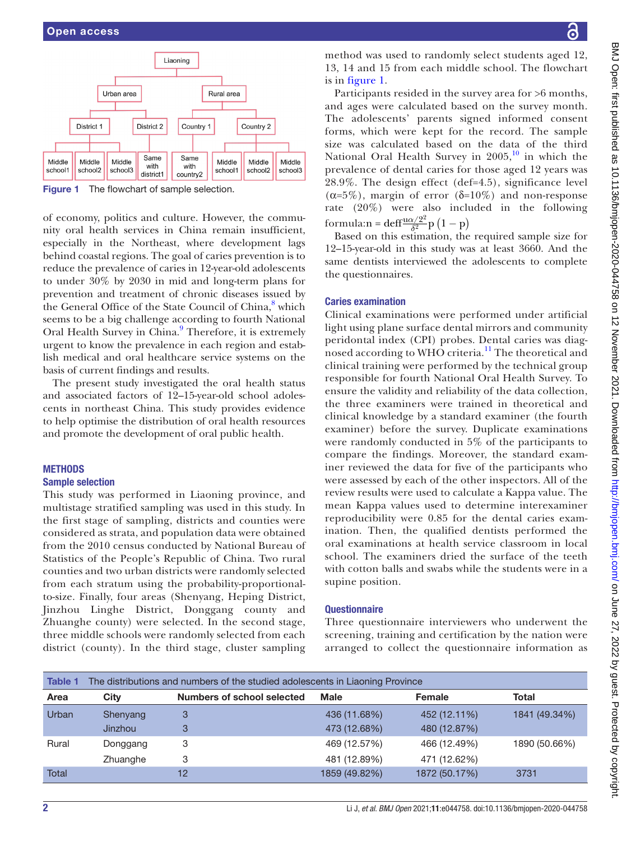

<span id="page-1-0"></span>Figure 1 The flowchart of sample selection.

of economy, politics and culture. However, the community oral health services in China remain insufficient, especially in the Northeast, where development lags behind coastal regions. The goal of caries prevention is to reduce the prevalence of caries in 12-year-old adolescents to under 30% by 2030 in mid and long-term plans for prevention and treatment of chronic diseases issued by the General Office of the State Council of China,<sup>[8](#page-7-7)</sup> which seems to be a big challenge according to fourth National Oral Health Survey in China.<sup>[9](#page-7-8)</sup> Therefore, it is extremely urgent to know the prevalence in each region and establish medical and oral healthcare service systems on the basis of current findings and results.

The present study investigated the oral health status and associated factors of 12–15-year-old school adolescents in northeast China. This study provides evidence to help optimise the distribution of oral health resources and promote the development of oral public health.

## **METHODS**

#### Sample selection

This study was performed in Liaoning province, and multistage stratified sampling was used in this study. In the first stage of sampling, districts and counties were considered as strata, and population data were obtained from the 2010 census conducted by National Bureau of Statistics of the People's Republic of China. Two rural counties and two urban districts were randomly selected from each stratum using the probability-proportionalto-size. Finally, four areas (Shenyang, Heping District, Jinzhou Linghe District, Donggang county and Zhuanghe county) were selected. In the second stage, three middle schools were randomly selected from each district (county). In the third stage, cluster sampling

method was used to randomly select students aged 12, 13, 14 and 15 from each middle school. The flowchart is in [figure](#page-1-0) 1.

Participants resided in the survey area for >6 months, and ages were calculated based on the survey month. The adolescents' parents signed informed consent forms, which were kept for the record. The sample size was calculated based on the data of the third National Oral Health Survey in  $2005$ ,<sup>[10](#page-7-9)</sup> in which the prevalence of dental caries for those aged 12 years was 28.9%. The design effect (def=4.5), significance level (α=5%), margin of error (δ=10%) and non-response rate (20%) were also included in the following formula:n = deff<sup> $\frac{u\alpha/2^2}{\delta^2}p(1-p)$ </sup>

Based on this estimation, the required sample size for 12–15-year-old in this study was at least 3660. And the same dentists interviewed the adolescents to complete the questionnaires.

## Caries examination

Clinical examinations were performed under artificial light using plane surface dental mirrors and community peridontal index (CPI) probes. Dental caries was diag-nosed according to WHO criteria.<sup>[11](#page-7-10)</sup> The theoretical and clinical training were performed by the technical group responsible for fourth National Oral Health Survey. To ensure the validity and reliability of the data collection, the three examiners were trained in theoretical and clinical knowledge by a standard examiner (the fourth examiner) before the survey. Duplicate examinations were randomly conducted in 5% of the participants to compare the findings. Moreover, the standard examiner reviewed the data for five of the participants who were assessed by each of the other inspectors. All of the review results were used to calculate a Kappa value. The mean Kappa values used to determine interexaminer reproducibility were 0.85 for the dental caries examination. Then, the qualified dentists performed the oral examinations at health service classroom in local school. The examiners dried the surface of the teeth with cotton balls and swabs while the students were in a supine position.

## **Questionnaire**

Three questionnaire interviewers who underwent the screening, training and certification by the nation were arranged to collect the questionnaire information as

<span id="page-1-1"></span>

| Table 1 |          |                                   | The distributions and numbers of the studied adolescents in Liaoning Province |               |               |  |  |  |  |  |  |  |  |  |
|---------|----------|-----------------------------------|-------------------------------------------------------------------------------|---------------|---------------|--|--|--|--|--|--|--|--|--|
| Area    | City     | <b>Numbers of school selected</b> | Male                                                                          | Female        | Total         |  |  |  |  |  |  |  |  |  |
| Urban   | Shenyang | 3                                 | 436 (11.68%)                                                                  | 452 (12.11%)  | 1841 (49.34%) |  |  |  |  |  |  |  |  |  |
|         | Jinzhou  | 3                                 | 473 (12.68%)                                                                  | 480 (12.87%)  |               |  |  |  |  |  |  |  |  |  |
| Rural   | Donggang | 3                                 | 469 (12.57%)                                                                  | 466 (12.49%)  | 1890 (50.66%) |  |  |  |  |  |  |  |  |  |
|         | Zhuanghe | 3                                 | 481 (12.89%)                                                                  | 471 (12.62%)  |               |  |  |  |  |  |  |  |  |  |
| Total   |          | 12                                | 1859 (49.82%)                                                                 | 1872 (50.17%) | 3731          |  |  |  |  |  |  |  |  |  |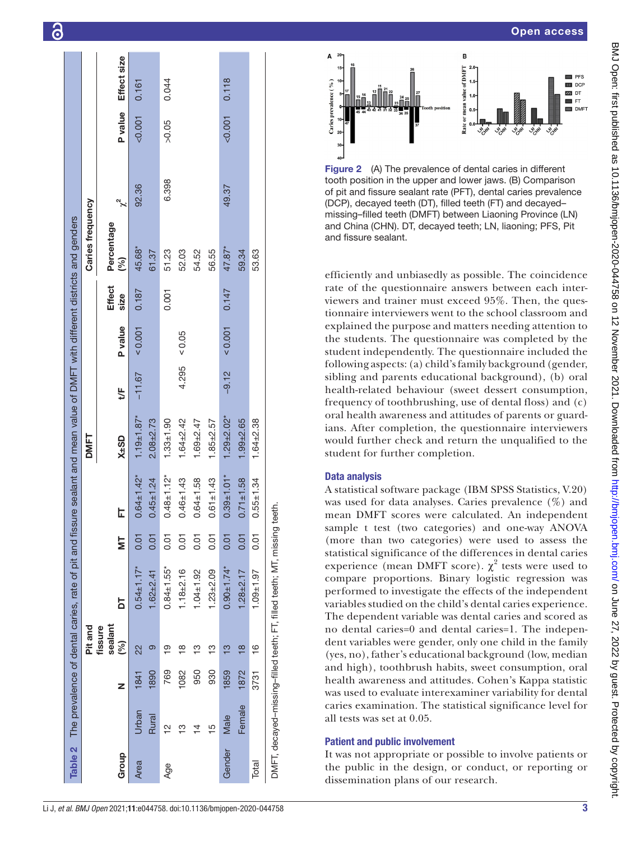|        |                |      |                           |                                                                          |              |                   |                 |          |                |                       | Table 2 The prevalence of dental caries, rate of pit and fissure sealant and mean value of DMFT with different districts and genders |          |         |             |
|--------|----------------|------|---------------------------|--------------------------------------------------------------------------|--------------|-------------------|-----------------|----------|----------------|-----------------------|--------------------------------------------------------------------------------------------------------------------------------------|----------|---------|-------------|
|        |                |      | Pit and                   |                                                                          |              |                   | DMFT            |          |                |                       | Caries frequency                                                                                                                     |          |         |             |
| Group  |                | Z    | sealant<br>fissure<br>(%) | 5                                                                        | 늫            | ᄂ                 | $X\pm SD$       | ₩        | P value        | <b>Effect</b><br>size | Percentage<br>(%)                                                                                                                    | <b>2</b> | P value | Effect size |
| Area   | Urban          | 1841 | 22                        | $0.54 + 1.17*$                                                           | 0.01         | $0.64 \pm 1.42$ * | $1.19 + 1.87*$  | $-11.67$ | 100.001        | 0.187                 | 45.68*                                                                                                                               | 92.36    | 0.001   | 0.161       |
|        | Rural          | 1890 | ၜ                         | $1.62 + 2.41$                                                            | 0.01         | $0.45 + 1.24$     | $2.08 + 2.73$   |          |                |                       | 61.37                                                                                                                                |          |         |             |
| Age    | 읻              | 769  | <u>စု</u>                 | $0.84 + 1.55*$                                                           | 5.01         | $0.48 + 1.12*$    | $1.33 + 1.90$   |          |                | 0.001                 | 51.23                                                                                                                                | 6.398    | >0.05   | 0.044       |
|        | ≌              | 1082 | ≌                         | $.18 + 2.16$                                                             | <b>50.01</b> | $0.46 \pm 1.43$   | $1.64 + 2.42$   |          | $4.295 = 0.05$ |                       | 52.03                                                                                                                                |          |         |             |
|        | $\overline{4}$ | 950  | ≌                         | $1.04 \pm 1.92$                                                          | 5<br>0.0     | $0.64 \pm 1.58$   | $1.69 + 2.47$   |          |                |                       | 54.52                                                                                                                                |          |         |             |
|        | $\frac{10}{1}$ | 930  | တ္                        | $1.23 + 2.09$                                                            | 5<br>0.01    | $0.61 \pm 1.43$   | $1.85 + 2.57$   |          |                |                       | 56.55                                                                                                                                |          |         |             |
| Gender | Male           | 1859 | ഇ                         | $0.90 + 1.74*$                                                           | 0.01         | $0.39 + 1.01*$    | $1.29 + 2.02*$  | $-9.12$  | 0.001          | 0.147                 | 47.87*                                                                                                                               | 49.37    | < 0.001 | 0.118       |
|        | Female         | 1872 | $\overline{\infty}$       | $1.28 + 2.17$                                                            | 0.01         | $0.71 \pm 1.58$   | $1.99 + 2.65$   |          |                |                       | 59.34                                                                                                                                |          |         |             |
| Total  |                | 3731 | $\frac{6}{1}$             | $1.09 + 1.97$                                                            | 5<br>0.01    | $0.55 + 1.34$     | $1.64 \pm 2.38$ |          |                |                       | 53.63                                                                                                                                |          |         |             |
|        |                |      |                           | DMFT, decayed-missing-filled teeth; FT, filled teeth; MT, missing teeth. |              |                   |                 |          |                |                       |                                                                                                                                      |          |         |             |



<span id="page-2-1"></span>Figure 2 (A) The prevalence of dental caries in different tooth position in the upper and lower jaws. (B) Comparison of pit and fissure sealant rate (PFT), dental caries prevalence (DCP), decayed teeth (DT), filled teeth (FT) and decayed– missing–filled teeth (DMFT) between Liaoning Province (LN) and China (CHN). DT, decayed teeth; LN, liaoning; PFS, Pit and fissure sealant.

efficiently and unbiasedly as possible. The coincidence rate of the questionnaire answers between each interviewers and trainer must exceed 95%. Then, the questionnaire interviewers went to the school classroom and explained the purpose and matters needing attention to the students. The questionnaire was completed by the student independently. The questionnaire included the following aspects: (a) child's family background (gender, sibling and parents educational background), (b) oral health-related behaviour (sweet dessert consumption, frequency of toothbrushing, use of dental floss) and (c) oral health awareness and attitudes of parents or guard ians. After completion, the questionnaire interviewers would further check and return the unqualified to the student for further completion.

# Data analysis

A statistical software package (IBM SPSS Statistics, V.20) was used for data analyses. Caries prevalence (%) and mean DMFT scores were calculated. An independent sample t test (two categories) and one-way ANOVA (more than two categories) were used to assess the statistical significance of the differences in dental caries experience (mean DMFT score).  $\chi^2$  tests were used to compare proportions. Binary logistic regression was performed to investigate the effects of the independent variables studied on the child's dental caries experience. The dependent variable was dental caries and scored as no dental caries=0 and dental caries=1. The indepen dent variables were gender, only one child in the family (yes, no), father's educational background (low, median and high), toothbrush habits, sweet consumption, oral health awareness and attitudes. Cohen's Kappa statistic was used to evaluate interexaminer variability for dental caries examination. The statistical significance level for all tests was set at 0.05.

## Patient and public involvement

<span id="page-2-0"></span>It was not appropriate or possible to involve patients or the public in the design, or conduct, or reporting or dissemination plans of our research.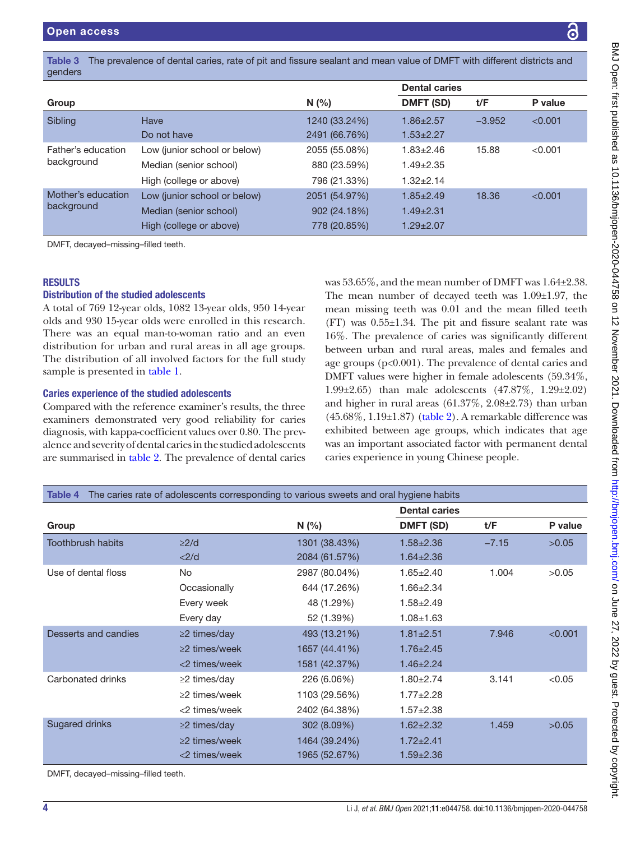<span id="page-3-0"></span>

|         | Dontal carios                                                                                                                |
|---------|------------------------------------------------------------------------------------------------------------------------------|
| genders |                                                                                                                              |
|         | Table 3 The prevalence of dental caries, rate of pit and fissure sealant and mean value of DMFT with different districts and |

|                    |                              |               | בסוומו טמווסט    |          |         |  |  |  |
|--------------------|------------------------------|---------------|------------------|----------|---------|--|--|--|
| Group              |                              | N(%           | <b>DMFT (SD)</b> | t/F      | P value |  |  |  |
| Sibling            | Have                         | 1240 (33.24%) | $1.86 \pm 2.57$  | $-3.952$ | < 0.001 |  |  |  |
|                    | Do not have                  | 2491 (66.76%) | $1.53 \pm 2.27$  |          |         |  |  |  |
| Father's education | Low (junior school or below) | 2055 (55.08%) | $1.83 \pm 2.46$  | 15.88    | < 0.001 |  |  |  |
| background         | Median (senior school)       | 880 (23.59%)  | $1.49 \pm 2.35$  |          |         |  |  |  |
|                    | High (college or above)      | 796 (21.33%)  | $1.32 \pm 2.14$  |          |         |  |  |  |
| Mother's education | Low (junior school or below) | 2051 (54.97%) | $1.85 \pm 2.49$  | 18.36    | < 0.001 |  |  |  |
| background         | Median (senior school)       | 902 (24.18%)  | $1.49 \pm 2.31$  |          |         |  |  |  |
|                    | High (college or above)      | 778 (20.85%)  | $1.29 \pm 2.07$  |          |         |  |  |  |
|                    |                              |               |                  |          |         |  |  |  |

DMFT, decayed–missing–filled teeth.

## **RESULTS**

#### Distribution of the studied adolescents

A total of 769 12-year olds, 1082 13-year olds, 950 14-year olds and 930 15-year olds were enrolled in this research. There was an equal man-to-woman ratio and an even distribution for urban and rural areas in all age groups. The distribution of all involved factors for the full study sample is presented in [table](#page-1-1) 1.

#### Caries experience of the studied adolescents

Compared with the reference examiner's results, the three examiners demonstrated very good reliability for caries diagnosis, with kappa-coefficient values over 0.80. The prevalence and severity of dental caries in the studied adolescents are summarised in [table](#page-2-0) 2. The prevalence of dental caries

was 53.65%, and the mean number of DMFT was 1.64±2.38. The mean number of decayed teeth was 1.09±1.97, the mean missing teeth was 0.01 and the mean filled teeth (FT) was 0.55±1.34. The pit and fissure sealant rate was 16%. The prevalence of caries was significantly different between urban and rural areas, males and females and age groups (p<0.001). The prevalence of dental caries and DMFT values were higher in female adolescents (59.34%, 1.99±2.65) than male adolescents (47.87%, 1.29±2.02) and higher in rural areas (61.37%, 2.08±2.73) than urban  $(45.68\%, 1.19\pm1.87)$  [\(table](#page-2-0) 2). A remarkable difference was exhibited between age groups, which indicates that age was an important associated factor with permanent dental caries experience in young Chinese people.

<span id="page-3-1"></span>

| Table 4                                                                                                                                                                                                                             |                     | The caries rate of adolescents corresponding to various sweets and oral hygiene habits |                      |         |         |
|-------------------------------------------------------------------------------------------------------------------------------------------------------------------------------------------------------------------------------------|---------------------|----------------------------------------------------------------------------------------|----------------------|---------|---------|
|                                                                                                                                                                                                                                     |                     |                                                                                        | <b>Dental caries</b> |         |         |
| Group                                                                                                                                                                                                                               |                     | N(%)                                                                                   | DMFT (SD)            | t/F     | P value |
| <b>Toothbrush habits</b>                                                                                                                                                                                                            | $\geq$ 2/d          | 1301 (38.43%)                                                                          | $1.58 \pm 2.36$      | $-7.15$ | >0.05   |
|                                                                                                                                                                                                                                     | <2/d                | 2084 (61.57%)                                                                          | $1.64 \pm 2.36$      |         |         |
| Use of dental floss                                                                                                                                                                                                                 | No.                 | 2987 (80.04%)                                                                          | $1.65 \pm 2.40$      | 1.004   | >0.05   |
|                                                                                                                                                                                                                                     | Occasionally        | 644 (17.26%)                                                                           | $1.66 \pm 2.34$      |         |         |
|                                                                                                                                                                                                                                     | Every week          | 48 (1.29%)                                                                             | $1.58 \pm 2.49$      |         |         |
|                                                                                                                                                                                                                                     | Every day           | 52 (1.39%)                                                                             | $1.08 + 1.63$        |         |         |
| Desserts and candies                                                                                                                                                                                                                | $\geq$ 2 times/day  | 493 (13.21%)                                                                           | $1.81 \pm 2.51$      | 7.946   | < 0.001 |
|                                                                                                                                                                                                                                     | $\geq$ 2 times/week | 1657 (44.41%)                                                                          | $1.76 \pm 2.45$      |         |         |
|                                                                                                                                                                                                                                     | <2 times/week       | 1581 (42.37%)                                                                          | $1.46 \pm 2.24$      |         |         |
| Carbonated drinks                                                                                                                                                                                                                   | $\geq$ 2 times/day  | 226 (6.06%)                                                                            | $1.80 \pm 2.74$      | 3.141   | < 0.05  |
|                                                                                                                                                                                                                                     | $\geq$ 2 times/week | 1103 (29.56%)                                                                          | $1.77 \pm 2.28$      |         |         |
|                                                                                                                                                                                                                                     | <2 times/week       | 2402 (64.38%)                                                                          | $1.57 \pm 2.38$      |         |         |
| <b>Sugared drinks</b>                                                                                                                                                                                                               | $\geq$ 2 times/day  | 302 (8.09%)                                                                            | $1.62 \pm 2.32$      | 1.459   | >0.05   |
|                                                                                                                                                                                                                                     | $\geq$ 2 times/week | 1464 (39.24%)                                                                          | $1.72 \pm 2.41$      |         |         |
|                                                                                                                                                                                                                                     | <2 times/week       | 1965 (52.67%)                                                                          | $1.59 \pm 2.36$      |         |         |
| <b>DAMET</b> descriptions and the continuing and the continuing and the continuing and the continuing and the continuing and the continuing and the continuing and the continuing and the continuing and the continuing and the con |                     |                                                                                        |                      |         |         |

DMFT, decayed–missing–filled teeth.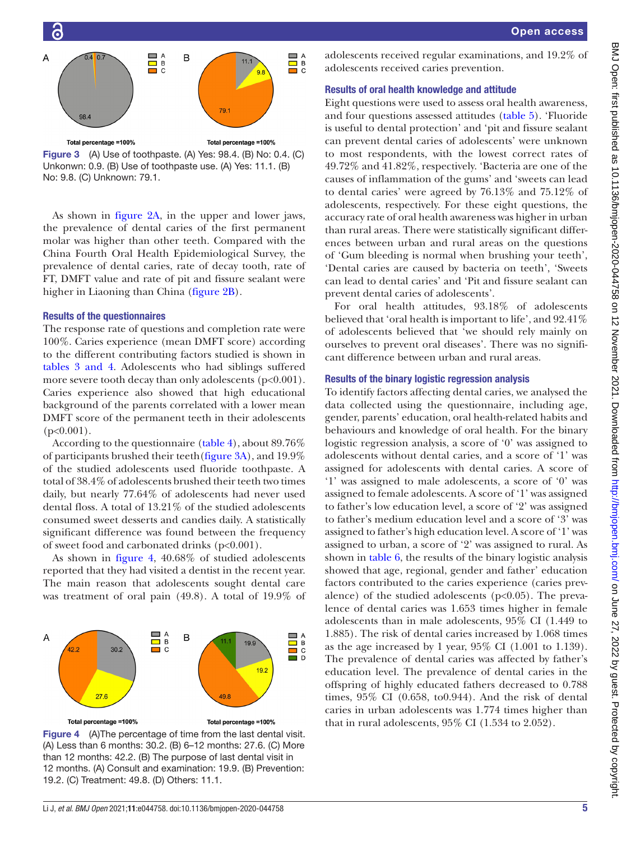

<span id="page-4-0"></span>Figure 3 (A) Use of toothpaste. (A) Yes: 98.4. (B) No: 0.4. (C) Unkonwn: 0.9. (B) Use of toothpaste use. (A) Yes: 11.1. (B) No: 9.8. (C) Unknown: 79.1.

As shown in [figure](#page-2-1) 2A, in the upper and lower jaws, the prevalence of dental caries of the first permanent molar was higher than other teeth. Compared with the China Fourth Oral Health Epidemiological Survey, the prevalence of dental caries, rate of decay tooth, rate of FT, DMFT value and rate of pit and fissure sealant were higher in Liaoning than China [\(figure](#page-2-1) 2B).

#### Results of the questionnaires

The response rate of questions and completion rate were 100%. Caries experience (mean DMFT score) according to the different contributing factors studied is shown in tables [3 and 4](#page-3-0). Adolescents who had siblings suffered more severe tooth decay than only adolescents (p<0.001). Caries experience also showed that high educational background of the parents correlated with a lower mean DMFT score of the permanent teeth in their adolescents  $(p<0.001)$ .

According to the questionnaire ([table](#page-3-1) 4), about 89.76% of participants brushed their teeth[\(figure](#page-4-0) 3A), and 19.9% of the studied adolescents used fluoride toothpaste. A total of 38.4% of adolescents brushed their teeth two times daily, but nearly 77.64% of adolescents had never used dental floss. A total of 13.21% of the studied adolescents consumed sweet desserts and candies daily. A statistically significant difference was found between the frequency of sweet food and carbonated drinks (p<0.001).

As shown in [figure](#page-4-1) 4, 40.68% of studied adolescents reported that they had visited a dentist in the recent year. The main reason that adolescents sought dental care was treatment of oral pain (49.8). A total of 19.9% of



<span id="page-4-1"></span>Figure 4 (A)The percentage of time from the last dental visit. (A) Less than 6 months: 30.2. (B) 6–12 months: 27.6. (C) More than 12 months: 42.2. (B) The purpose of last dental visit in 12 months. (A) Consult and examination: 19.9. (B) Prevention: 19.2. (C) Treatment: 49.8. (D) Others: 11.1.

adolescents received regular examinations, and 19.2% of adolescents received caries prevention.

## Results of oral health knowledge and attitude

Eight questions were used to assess oral health awareness, and four questions assessed attitudes [\(table](#page-5-0) 5). 'Fluoride is useful to dental protection' and 'pit and fissure sealant can prevent dental caries of adolescents' were unknown to most respondents, with the lowest correct rates of 49.72% and 41.82%, respectively. 'Bacteria are one of the causes of inflammation of the gums' and 'sweets can lead to dental caries' were agreed by 76.13% and 75.12% of adolescents, respectively. For these eight questions, the accuracy rate of oral health awareness was higher in urban than rural areas. There were statistically significant differences between urban and rural areas on the questions of 'Gum bleeding is normal when brushing your teeth', 'Dental caries are caused by bacteria on teeth', 'Sweets can lead to dental caries' and 'Pit and fissure sealant can prevent dental caries of adolescents'.

For oral health attitudes, 93.18% of adolescents believed that 'oral health is important to life', and 92.41% of adolescents believed that 'we should rely mainly on ourselves to prevent oral diseases'. There was no significant difference between urban and rural areas.

## Results of the binary logistic regression analysis

To identify factors affecting dental caries, we analysed the data collected using the questionnaire, including age, gender, parents' education, oral health-related habits and behaviours and knowledge of oral health. For the binary logistic regression analysis, a score of '0' was assigned to adolescents without dental caries, and a score of '1' was assigned for adolescents with dental caries. A score of '1' was assigned to male adolescents, a score of '0' was assigned to female adolescents. A score of '1' was assigned to father's low education level, a score of '2' was assigned to father's medium education level and a score of '3' was assigned to father's high education level. A score of '1' was assigned to urban, a score of '2' was assigned to rural. As shown in [table](#page-6-0) 6, the results of the binary logistic analysis showed that age, regional, gender and father' education factors contributed to the caries experience (caries prevalence) of the studied adolescents ( $p<0.05$ ). The prevalence of dental caries was 1.653 times higher in female adolescents than in male adolescents, 95% CI (1.449 to 1.885). The risk of dental caries increased by 1.068 times as the age increased by 1 year,  $95\%$  CI (1.001 to 1.139). The prevalence of dental caries was affected by father's education level. The prevalence of dental caries in the offspring of highly educated fathers decreased to 0.788 times, 95% CI (0.658, to0.944). And the risk of dental caries in urban adolescents was 1.774 times higher than that in rural adolescents, 95% CI (1.534 to 2.052).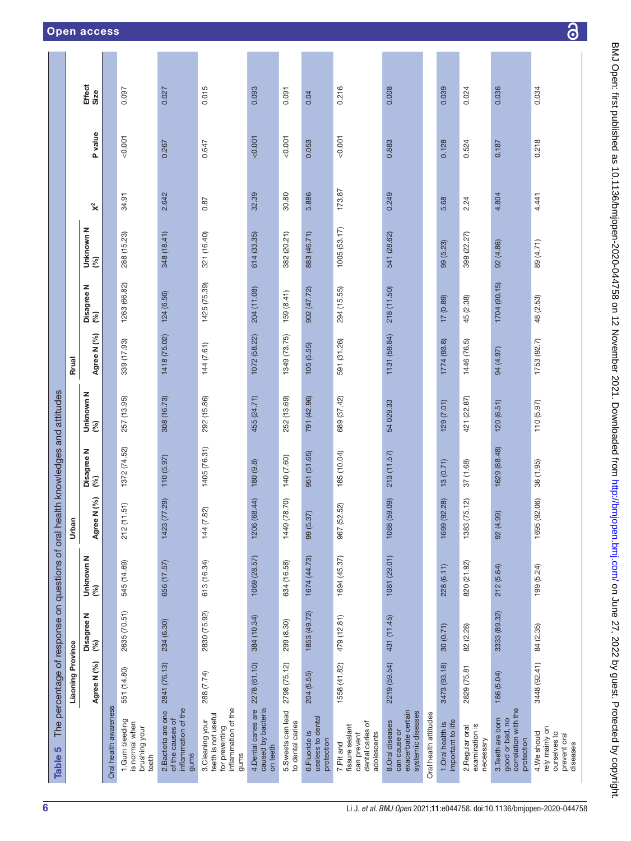<span id="page-5-0"></span>

|                                                 |                          | <b>Effect</b><br>Size  |                       | 0.097                                                      | 0.027                                                                  | 0.015                                                                                   | 0.093                                                 | 0.091                                 | 0.04                                              | 0.216                                                                          | 0.008                                                                       |                       | 0.039                                 | 0.024                                          | 0.036                                                                      | 0.034                                         |
|-------------------------------------------------|--------------------------|------------------------|-----------------------|------------------------------------------------------------|------------------------------------------------------------------------|-----------------------------------------------------------------------------------------|-------------------------------------------------------|---------------------------------------|---------------------------------------------------|--------------------------------------------------------------------------------|-----------------------------------------------------------------------------|-----------------------|---------------------------------------|------------------------------------------------|----------------------------------------------------------------------------|-----------------------------------------------|
|                                                 |                          | P value                |                       | 0.001                                                      | 0.267                                                                  | 0.647                                                                                   | 0.007                                                 | 0.001                                 | 0.053                                             | 0.001                                                                          | 0.883                                                                       |                       | 0.128                                 | 0.524                                          | 0.187                                                                      | 0.218                                         |
|                                                 |                          | $\mathsf{x}^2$         |                       | 34.91                                                      | 2.642                                                                  | 0.87                                                                                    | 32.39                                                 | 30.80                                 | 5.886                                             | 173.87                                                                         | 0.249                                                                       |                       | 5.68                                  | 2.24                                           | 4.804                                                                      | 4.441                                         |
|                                                 |                          | Unknown N<br>(%)       |                       | 288 (15.23)                                                | 348 (18.41)                                                            | 321 (16.40)                                                                             | 614 (33.35)                                           | 382 (20.21)                           | 883 (46.71)                                       | 1005 (53.17)                                                                   | 541 (28.62)                                                                 |                       | 99 (5.23)                             | 399 (22.27)                                    | 92 (4.86)                                                                  | 89 (4.71)                                     |
|                                                 |                          | Disagree N<br>(%)      |                       | 1263 (66.82)                                               | 124 (6.56)                                                             | 1425 (75.39)                                                                            | 204 (11.08)                                           | 159(8.41)                             | 902 (47.72)                                       | 294 (15.55)                                                                    | 218 (11.50)                                                                 |                       | 17 (0.89)                             | 45 (2.38)                                      | 1704 (90.15)                                                               | 48 (2.53)                                     |
|                                                 | <b>Rrual</b>             | Agree N (%)            |                       | 339 (17.93)                                                | 1418 (75.02)                                                           | 144 (7.61)                                                                              | 1072 (58.22)                                          | 1349 (73.75)                          | 105(5.55)                                         | 591 (31.26)                                                                    | 1131 (59.84)                                                                |                       | 1774 (93.8)                           | 1446 (76.5)                                    | 94 (4.97)                                                                  | 1753(92.7)                                    |
|                                                 |                          | Unknown N<br>(%)       |                       | 257 (13.95)                                                | 308 (16.73)                                                            | 292 (15.86)                                                                             | 455 (24.71)                                           | 252 (13.69)                           | 791 (42.96)                                       | 689 (37.42)                                                                    | 54029.33                                                                    |                       | 129(7.01)                             | 421 (22.87)                                    | 120 (6.51)                                                                 | 110 (5.97)                                    |
| health knowledges and attitudes                 |                          | Disagree N<br>(%)      |                       | 1372 (74.52)                                               | 110 (5.97)                                                             | 1405 (76.31)                                                                            | 180 (9.8)                                             | 140 (7.60)                            | (51.65)<br>951                                    | 185 (10.04)                                                                    | 213 (11.57)                                                                 |                       | 13(0.71)                              | 37 (1.68)                                      | 1629 (88.48)                                                               | 36 (1.95)                                     |
|                                                 | Urban                    | Agree N (%)            |                       | (11.51)<br>212                                             | 3(77.29)<br>142                                                        | (7.82)<br>144                                                                           | 1206 (68.44)                                          | 9(78.70)<br>144                       | 99 (5.37)                                         | (52.52)<br>967                                                                 | 1088 (59.09)                                                                |                       | 1699 (92.28)                          | 1383 (75.12)                                   | 92 (4.99)                                                                  | 1695 (92.06)                                  |
|                                                 |                          | Unknown N<br>(%)       |                       | 545 (14.69)                                                | 656 (17.57)                                                            | 613 (16.34)                                                                             | 1069 (28.57)                                          | 634 (16.58)                           | 1674 (44.73)                                      | 1694 (45.37)                                                                   | 1081 (29.01)                                                                |                       | 228 (6.11)                            | 820 (21.92)                                    | 212(5.64)                                                                  | 199 (5.24)                                    |
| The percentage of response on questions of oral |                          | z<br>Disagree I<br>(%) |                       | 2635 (70.51)                                               | 234 (6.30)                                                             | 2830 (75.92)                                                                            | 384 (10.34)                                           | 299 (8.30)                            | 1853 (49.72)                                      | 479 (12.81)                                                                    | 431 (11.45)                                                                 |                       | 30 (0.71)                             | 82 (2.28)                                      | 3333 (89.32)                                                               | 84 (2.35)                                     |
|                                                 | <b>Liaoning Province</b> | Agree N (%)            |                       | 551 (14.80)                                                | 2841 (76.13)                                                           | 288 (7.74)                                                                              | 2278 (61.10)                                          | 2798 (75.12)                          | 204 (5.55)                                        | 1558 (41.82)                                                                   | 2219 (59.54)                                                                |                       | 3473 (93.18)                          | 2829 (75.81                                    | 186 (5.04)                                                                 | 3448 (92.41)                                  |
| 5<br><b>Table</b>                               |                          |                        | Oral health awareness | 1.Gum bleeding<br>is normal when<br>brushing your<br>teeth | inflammation of the<br>2. Bacteria are one<br>of the causes of<br>gums | inflammation of the<br>teeth is not useful<br>3.Cleaning your<br>for preventing<br>gums | 4.Dental caries are<br>caused by bacteria<br>on teeth | 5.Sweets can lead<br>to dental caries | useless to dental<br>6. Fluoride is<br>protection | dental caries of<br>fissure sealant<br>adolescents<br>can prevent<br>7.Pit and | exacerbate certain<br>systemic diseases<br>8. Oral diseases<br>can cause or | Oral health attitudes | 1.Oral health is<br>important to life | examination is<br>2. Regular oral<br>necessary | correlation with the<br>3. Teeth are born<br>good or bad, no<br>protection | rely mainly on<br>4.We should<br>ourselves to |

 $\overline{\partial}$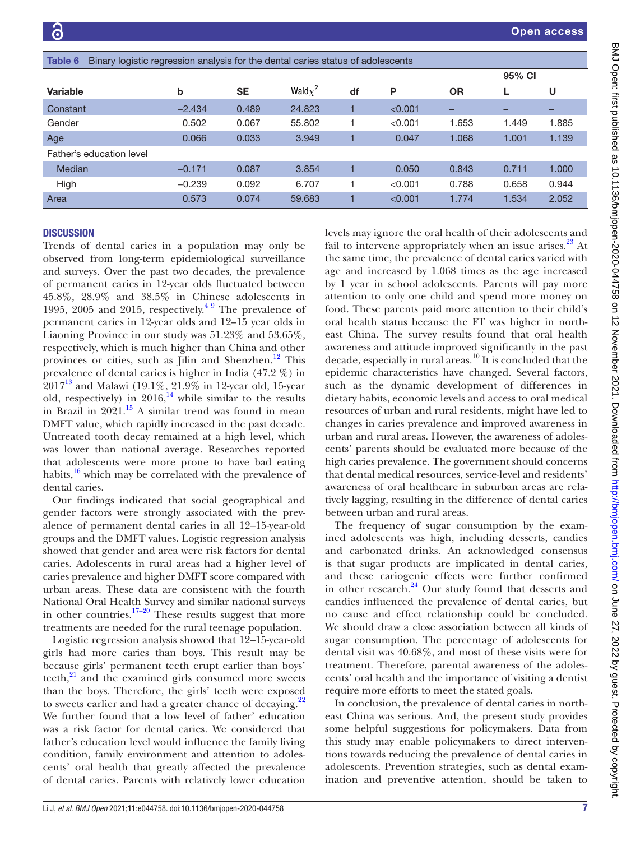<span id="page-6-0"></span>

| Table 6<br>Binary logistic regression analysis for the dental caries status of adolescents |          |           |               |    |         |           |        |       |  |  |
|--------------------------------------------------------------------------------------------|----------|-----------|---------------|----|---------|-----------|--------|-------|--|--|
|                                                                                            |          |           |               |    |         |           | 95% CI |       |  |  |
| <b>Variable</b>                                                                            | b        | <b>SE</b> | Wald $\chi^2$ | df | P       | <b>OR</b> | L      | U     |  |  |
| Constant                                                                                   | $-2.434$ | 0.489     | 24.823        |    | < 0.001 | -         | -      |       |  |  |
| Gender                                                                                     | 0.502    | 0.067     | 55,802        |    | < 0.001 | 1.653     | 1.449  | 1.885 |  |  |
| Age                                                                                        | 0.066    | 0.033     | 3.949         |    | 0.047   | 1.068     | 1.001  | 1.139 |  |  |
| Father's education level                                                                   |          |           |               |    |         |           |        |       |  |  |
| Median                                                                                     | $-0.171$ | 0.087     | 3.854         |    | 0.050   | 0.843     | 0.711  | 1.000 |  |  |
| High                                                                                       | $-0.239$ | 0.092     | 6.707         |    | < 0.001 | 0.788     | 0.658  | 0.944 |  |  |
| Area                                                                                       | 0.573    | 0.074     | 59,683        |    | < 0.001 | 1.774     | 1.534  | 2.052 |  |  |

## **DISCUSSION**

Trends of dental caries in a population may only be observed from long-term epidemiological surveillance and surveys. Over the past two decades, the prevalence of permanent caries in 12-year olds fluctuated between 45.8%, 28.9% and 38.5% in Chinese adolescents in 1995, 2005 and 2015, respectively. $49$  The prevalence of permanent caries in 12-year olds and 12–15 year olds in Liaoning Province in our study was 51.23% and 53.65%, respectively, which is much higher than China and other provinces or cities, such as Jilin and Shenzhen.<sup>12</sup> This prevalence of dental caries is higher in India (47.2 %) in  $2017^{13}$  and Malawi (19.1%, 21.9% in 12-year old, 15-year old, respectively) in  $2016$ ,<sup>14</sup> while similar to the results in Brazil in  $2021<sup>15</sup>$  A similar trend was found in mean DMFT value, which rapidly increased in the past decade. Untreated tooth decay remained at a high level, which was lower than national average. Researches reported that adolescents were more prone to have bad eating habits, $\frac{16}{16}$  which may be correlated with the prevalence of dental caries.

Our findings indicated that social geographical and gender factors were strongly associated with the prevalence of permanent dental caries in all 12–15-year-old groups and the DMFT values. Logistic regression analysis showed that gender and area were risk factors for dental caries. Adolescents in rural areas had a higher level of caries prevalence and higher DMFT score compared with urban areas. These data are consistent with the fourth National Oral Health Survey and similar national surveys in other countries. $17-20$  These results suggest that more treatments are needed for the rural teenage population.

Logistic regression analysis showed that 12–15-year-old girls had more caries than boys. This result may be because girls' permanent teeth erupt earlier than boys' teeth,<sup>[21](#page-7-17)</sup> and the examined girls consumed more sweets than the boys. Therefore, the girls' teeth were exposed to sweets earlier and had a greater chance of decaying. $2^2$ We further found that a low level of father' education was a risk factor for dental caries. We considered that father's education level would influence the family living condition, family environment and attention to adolescents' oral health that greatly affected the prevalence of dental caries. Parents with relatively lower education

levels may ignore the oral health of their adolescents and fail to intervene appropriately when an issue arises. $^{23}$  At the same time, the prevalence of dental caries varied with age and increased by 1.068 times as the age increased by 1 year in school adolescents. Parents will pay more attention to only one child and spend more money on food. These parents paid more attention to their child's oral health status because the FT was higher in northeast China. The survey results found that oral health awareness and attitude improved significantly in the past decade, especially in rural areas.10 It is concluded that the epidemic characteristics have changed. Several factors, such as the dynamic development of differences in dietary habits, economic levels and access to oral medical resources of urban and rural residents, might have led to changes in caries prevalence and improved awareness in urban and rural areas. However, the awareness of adolescents' parents should be evaluated more because of the high caries prevalence. The government should concerns that dental medical resources, service-level and residents' awareness of oral healthcare in suburban areas are relatively lagging, resulting in the difference of dental caries between urban and rural areas.

The frequency of sugar consumption by the examined adolescents was high, including desserts, candies and carbonated drinks. An acknowledged consensus is that sugar products are implicated in dental caries, and these cariogenic effects were further confirmed in other research.<sup>24</sup> Our study found that desserts and candies influenced the prevalence of dental caries, but no cause and effect relationship could be concluded. We should draw a close association between all kinds of sugar consumption. The percentage of adolescents for dental visit was 40.68%, and most of these visits were for treatment. Therefore, parental awareness of the adolescents' oral health and the importance of visiting a dentist require more efforts to meet the stated goals.

In conclusion, the prevalence of dental caries in northeast China was serious. And, the present study provides some helpful suggestions for policymakers. Data from this study may enable policymakers to direct interventions towards reducing the prevalence of dental caries in adolescents. Prevention strategies, such as dental examination and preventive attention, should be taken to